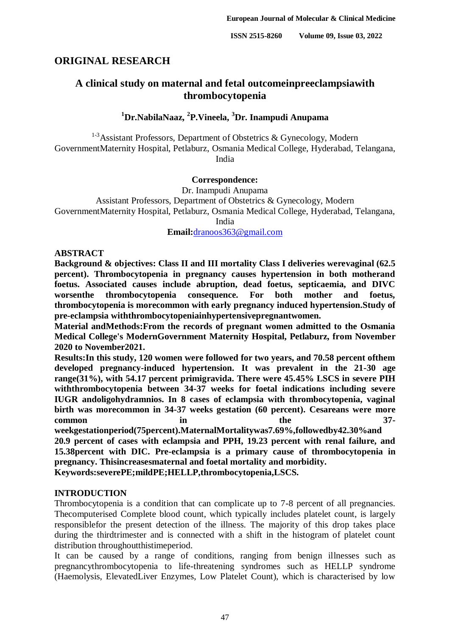# **ORIGINAL RESEARCH**

# **A clinical study on maternal and fetal outcomeinpreeclampsiawith thrombocytopenia**

# **<sup>1</sup>Dr.NabilaNaaz, 2 P.Vineela, <sup>3</sup>Dr. Inampudi Anupama**

 $1-3$  Assistant Professors, Department of Obstetrics & Gynecology, Modern GovernmentMaternity Hospital, Petlaburz, Osmania Medical College, Hyderabad, Telangana, India

### **Correspondence:**

Dr. Inampudi Anupama Assistant Professors, Department of Obstetrics & Gynecology, Modern GovernmentMaternity Hospital, Petlaburz, Osmania Medical College, Hyderabad, Telangana, India

**Email:**[dranoos363@gmail.com](about:blank)

### **ABSTRACT**

**Background & objectives: Class II and III mortality Class I deliveries werevaginal (62.5 percent). Thrombocytopenia in pregnancy causes hypertension in both motherand foetus. Associated causes include abruption, dead foetus, septicaemia, and DIVC worsenthe thrombocytopenia consequence. For both mother and foetus, thrombocytopenia is morecommon with early pregnancy induced hypertension.Study of pre-eclampsia withthrombocytopeniainhypertensivepregnantwomen.** 

**Material andMethods:From the records of pregnant women admitted to the Osmania Medical College's ModernGovernment Maternity Hospital, Petlaburz, from November 2020 to November2021.**

**Results:In this study, 120 women were followed for two years, and 70.58 percent ofthem developed pregnancy-induced hypertension. It was prevalent in the 21-30 age range(31%), with 54.17 percent primigravida. There were 45.45% LSCS in severe PIH withthrombocytopenia between 34-37 weeks for foetal indications including severe IUGR andoligohydramnios. In 8 cases of eclampsia with thrombocytopenia, vaginal birth was morecommon in 34-37 weeks gestation (60 percent). Cesareans were more common** in the 37**weekgestationperiod(75percent).MaternalMortalitywas7.69%,followedby42.30%and**

**20.9 percent of cases with eclampsia and PPH, 19.23 percent with renal failure, and 15.38percent with DIC. Pre-eclampsia is a primary cause of thrombocytopenia in pregnancy. Thisincreasesmaternal and foetal mortality and morbidity. Keywords:severePE;mildPE;HELLP,thrombocytopenia,LSCS.**

### **INTRODUCTION**

Thrombocytopenia is a condition that can complicate up to 7-8 percent of all pregnancies. Thecomputerised Complete blood count, which typically includes platelet count, is largely responsiblefor the present detection of the illness. The majority of this drop takes place during the thirdtrimester and is connected with a shift in the histogram of platelet count distribution throughoutthistimeperiod.

It can be caused by a range of conditions, ranging from benign illnesses such as pregnancythrombocytopenia to life-threatening syndromes such as HELLP syndrome (Haemolysis, ElevatedLiver Enzymes, Low Platelet Count), which is characterised by low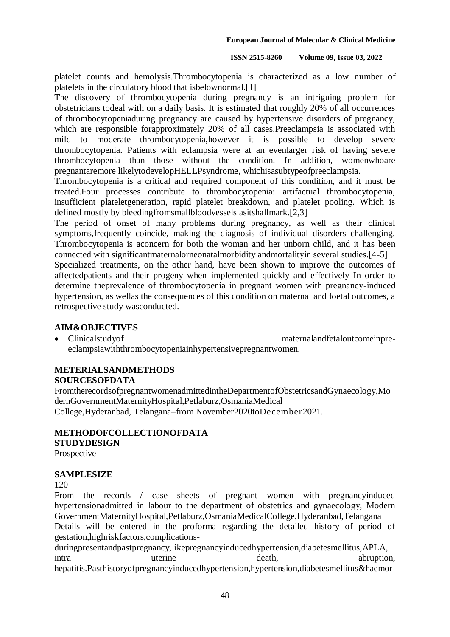platelet counts and hemolysis.Thrombocytopenia is characterized as a low number of platelets in the circulatory blood that isbelownormal.[1]

The discovery of thrombocytopenia during pregnancy is an intriguing problem for obstetricians todeal with on a daily basis. It is estimated that roughly 20% of all occurrences of thrombocytopeniaduring pregnancy are caused by hypertensive disorders of pregnancy, which are responsible forapproximately 20% of all cases. Preeclampsia is associated with mild to moderate thrombocytopenia,however it is possible to develop severe thrombocytopenia. Patients with eclampsia were at an evenlarger risk of having severe thrombocytopenia than those without the condition. In addition, womenwhoare pregnantaremore likelytodevelopHELLPsyndrome, whichisasubtypeofpreeclampsia.

Thrombocytopenia is a critical and required component of this condition, and it must be treated.Four processes contribute to thrombocytopenia: artifactual thrombocytopenia, insufficient plateletgeneration, rapid platelet breakdown, and platelet pooling. Which is defined mostly by bleedingfromsmallbloodvessels asitshallmark.[2,3]

The period of onset of many problems during pregnancy, as well as their clinical symptoms,frequently coincide, making the diagnosis of individual disorders challenging. Thrombocytopenia is aconcern for both the woman and her unborn child, and it has been connected with significantmaternalorneonatalmorbidity andmortalityin several studies.[4-5]

Specialized treatments, on the other hand, have been shown to improve the outcomes of affectedpatients and their progeny when implemented quickly and effectively In order to determine theprevalence of thrombocytopenia in pregnant women with pregnancy-induced hypertension, as wellas the consequences of this condition on maternal and foetal outcomes, a retrospective study wasconducted.

### **AIM&OBJECTIVES**

 Clinicalstudyof maternalandfetaloutcomeinpreeclampsiawiththrombocytopeniainhypertensivepregnantwomen.

## **METERIALSANDMETHODS**

### **SOURCESOFDATA**

FromtherecordsofpregnantwomenadmittedintheDepartmentofObstetricsandGynaecology,Mo dernGovernmentMaternityHospital,Petlaburz,OsmaniaMedical College,Hyderanbad, Telangana–from November2020toDecember2021.

# **METHODOFCOLLECTIONOFDATA STUDYDESIGN**

Prospective

### **SAMPLESIZE**

120

From the records / case sheets of pregnant women with pregnancyinduced hypertensionadmitted in labour to the department of obstetrics and gynaecology, Modern GovernmentMaternityHospital,Petlaburz,OsmaniaMedicalCollege,Hyderanbad,Telangana Details will be entered in the proforma regarding the detailed history of period of gestation,highriskfactors,complications-

duringpresentandpastpregnancy,likepregnancyinducedhypertension,diabetesmellitus,APLA, intra uterine death, death, abruption, hepatitis.Pasthistoryofpregnancyinducedhypertension,hypertension,diabetesmellitus&haemor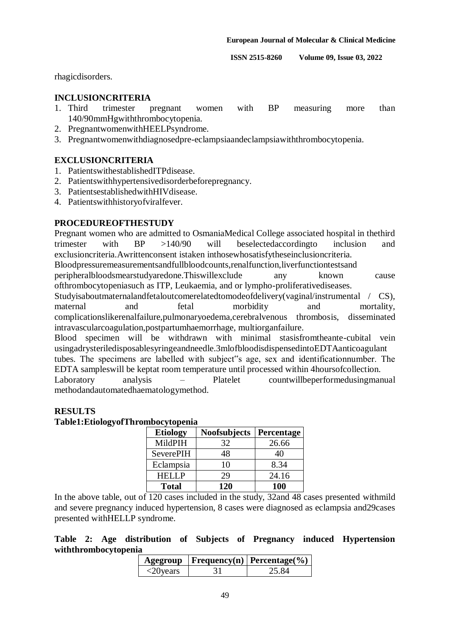rhagicdisorders.

### **INCLUSIONCRITERIA**

- 1. Third trimester pregnant women with BP measuring more than 140/90mmHgwiththrombocytopenia.
- 2. PregnantwomenwithHEELPsyndrome.
- 3. Pregnantwomenwithdiagnosedpre-eclampsiaandeclampsiawiththrombocytopenia.

### **EXCLUSIONCRITERIA**

- 1. PatientswithestablishedITPdisease.
- 2. Patientswithhypertensivedisorderbeforepregnancy.
- 3. PatientsestablishedwithHIVdisease.
- 4. Patientswithhistoryofviralfever.

### **PROCEDUREOFTHESTUDY**

Pregnant women who are admitted to OsmaniaMedical College associated hospital in thethird trimester with BP >140/90 will beselectedaccordingto inclusion and exclusioncriteria.Awrittenconsent istaken inthosewhosatisfytheseinclusioncriteria.

Bloodpressuremeasurementsandfullbloodcounts,renalfunction,liverfunctiontestsand

peripheralbloodsmearstudyaredone.Thiswillexclude any known cause ofthrombocytopeniasuch as ITP, Leukaemia, and or lympho-proliferativediseases.

Studyisaboutmaternalandfetaloutcomerelatedtomodeofdelivery(vaginal/instrumental / CS), maternal and fetal morbidity and mortality, complicationslikerenalfailure,pulmonaryoedema,cerebralvenous thrombosis, disseminated intravascularcoagulation,postpartumhaemorrhage, multiorganfailure.

Blood specimen will be withdrawn with minimal stasisfromtheante-cubital vein usingadrysteriledisposablesyringeandneedle.3mlofbloodisdispensedintoEDTAanticoagulant tubes. The specimens are labelled with subject"s age, sex and identificationnumber. The EDTA sampleswill be keptat room temperature until processed within 4hoursofcollection. Laboratory analysis – Platelet countwillbeperformedusingmanual methodandautomatedhaematologymethod.

### **RESULTS**

**Table1:EtiologyofThrombocytopenia**

| <b>Etiology</b>  | <b>Noofsubjects</b> | Percentage |
|------------------|---------------------|------------|
| MildPIH          | 32                  | 26.66      |
| <b>SeverePIH</b> | 48                  | 40         |
| Eclampsia        | 10                  | 8.34       |
| HEI I P          | 29                  | 24.16      |
| <b>Total</b>     | 120                 | 100        |

In the above table, out of 120 cases included in the study, 32and 48 cases presented withmild and severe pregnancy induced hypertension, 8 cases were diagnosed as eclampsia and29cases presented withHELLP syndrome.

**Table 2: Age distribution of Subjects of Pregnancy induced Hypertension withthrombocytopenia**

|                            | Agegroup   Frequency(n)   Percentage(%) |
|----------------------------|-----------------------------------------|
| $\langle 20 \rangle$ vears | 25. RA                                  |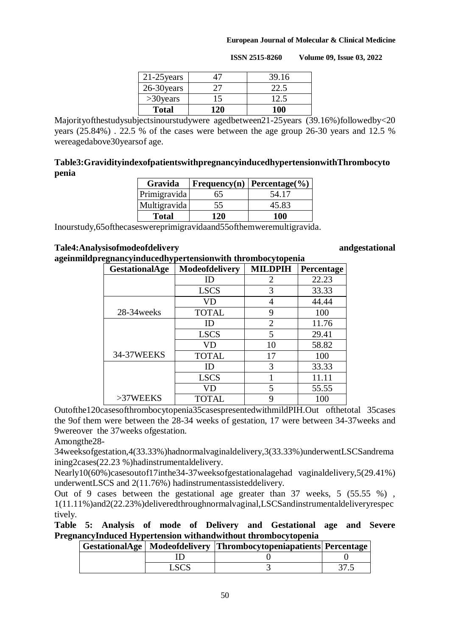| $21-25$ years |             | 39.16 |
|---------------|-------------|-------|
| 26-30 years   | $T_{\perp}$ | 22.5  |
| $>30$ years   | 15          | 12.5  |
| <b>Total</b>  | 120         | 100   |

 **ISSN 2515-8260 Volume 09, Issue 03, 2022**

Majorityofthestudysubjectsinourstudywere agedbetween21-25years (39.16%)followedby<20 years (25.84%) . 22.5 % of the cases were between the age group 26-30 years and 12.5 % wereagedabove30yearsof age.

### **Table3:GravidityindexofpatientswithpregnancyinducedhypertensionwithThrombocyto penia**

| Gravida      |     | Frequency(n)   Percentage(%) |  |  |
|--------------|-----|------------------------------|--|--|
| Primigravida | 65  | 54.17                        |  |  |
| Multigravida | 55  | 45.83                        |  |  |
| <b>Total</b> | 120 | 100                          |  |  |

Inourstudy,65ofthecaseswereprimigravidaand55ofthemweremultigravida.

### **Tale4:Analysisofmodeofdelivery andgestational**

**ageinmildpregnancyinducedhypertensionwith thrombocytopenia**

| GestationalAge | Modeofdelivery | <b>MILDPIH</b> | Percentage |
|----------------|----------------|----------------|------------|
|                | ID             | 2              | 22.23      |
|                | <b>LSCS</b>    | 3              | 33.33      |
|                | VD             |                | 44.44      |
| 28-34 weeks    | <b>TOTAL</b>   | 9              | 100        |
|                | ID             | 2              | 11.76      |
|                | <b>LSCS</b>    | 5              | 29.41      |
|                | VD             | 10             | 58.82      |
| 34-37WEEKS     | <b>TOTAL</b>   | 17             | 100        |
|                | ID             | 3              | 33.33      |
|                | <b>LSCS</b>    |                | 11.11      |
|                | VD             | 5              | 55.55      |
| >37WEEKS       | TOTAL          |                | 100        |

Outofthe120casesofthrombocytopenia35casespresentedwithmildPIH.Out ofthetotal 35cases the 9of them were between the 28-34 weeks of gestation, 17 were between 34-37weeks and 9wereover the 37weeks ofgestation.

Amongthe28-

34weeksofgestation,4(33.33%)hadnormalvaginaldelivery,3(33.33%)underwentLSCSandrema ining2cases(22.23 %)hadinstrumentaldelivery.

Nearly10(60%)casesoutof17inthe34-37weeksofgestationalagehad vaginaldelivery,5(29.41%) underwentLSCS and 2(11.76%) hadinstrumentassisteddelivery.

Out of 9 cases between the gestational age greater than 37 weeks, 5 (55.55 %) , 1(11.11%)and2(22.23%)deliveredthroughnormalvaginal,LSCSandinstrumentaldeliveryrespec tively.

**Table 5: Analysis of mode of Delivery and Gestational age and Severe PregnancyInduced Hypertension withandwithout thrombocytopenia**

|  | GestationalAge   Modeofdelivery   Thrombocytopeniapatients   Percentage |  |
|--|-------------------------------------------------------------------------|--|
|  |                                                                         |  |
|  |                                                                         |  |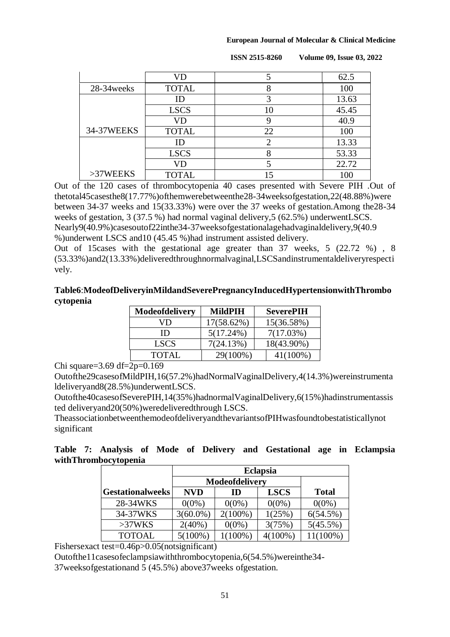|             | VD           |    | 62.5  |
|-------------|--------------|----|-------|
| 28-34 weeks | <b>TOTAL</b> | 8  | 100   |
|             |              |    | 13.63 |
|             | <b>LSCS</b>  | 10 | 45.45 |
|             | VD           |    | 40.9  |
| 34-37WEEKS  | <b>TOTAL</b> | 22 | 100   |
|             | ID           | っ  | 13.33 |
|             | <b>LSCS</b>  |    | 53.33 |
|             | VD           |    | 22.72 |
| >37WEEKS    | <b>TOTAL</b> | 15 | 100   |

 **ISSN 2515-8260 Volume 09, Issue 03, 2022**

Out of the 120 cases of thrombocytopenia 40 cases presented with Severe PIH .Out of thetotal45casesthe8(17.77%)ofthemwerebetweenthe28-34weeksofgestation,22(48.88%)were between 34-37 weeks and 15(33.33%) were over the 37 weeks of gestation.Among the28-34 weeks of gestation, 3 (37.5 %) had normal vaginal delivery,5 (62.5%) underwentLSCS. Nearly9(40.9%)casesoutof22inthe34-37weeksofgestationalagehadvaginaldelivery,9(40.9 %)underwent LSCS and10 (45.45 %)had instrument assisted delivery.

Out of 15cases with the gestational age greater than 37 weeks, 5 (22.72 %) , 8 (53.33%)and2(13.33%)deliveredthroughnormalvaginal,LSCSandinstrumentaldeliveryrespecti vely.

### **Table6**:**ModeofDeliveryinMildandSeverePregnancyInducedHypertensionwithThrombo cytopenia**

| Modeofdelivery | MildPIH    | <b>SeverePIH</b> |
|----------------|------------|------------------|
| VD             | 17(58.62%) | 15(36.58%)       |
| ID             | 5(17.24%)  | 7(17.03%)        |
| <b>LSCS</b>    | 7(24.13%)  | 18(43.90%)       |
| <b>TOTAL</b>   | 29(100%)   | $41(100\%)$      |

Chi square=3.69 df=2p=0.169

Outofthe29casesofMildPIH,16(57.2%)hadNormalVaginalDelivery,4(14.3%)wereinstrumenta ldeliveryand8(28.5%)underwentLSCS.

Outofthe40casesofSeverePIH,14(35%)hadnormalVaginalDelivery,6(15%)hadinstrumentassis ted deliveryand20(50%)weredeliveredthrough LSCS.

TheassociationbetweenthemodeofdeliveryandthevariantsofPIHwasfoundtobestatisticallynot significant

|  |                      |  |  | Table 7: Analysis of Mode of Delivery and Gestational age in Eclampsia |  |  |
|--|----------------------|--|--|------------------------------------------------------------------------|--|--|
|  | withThrombocytopenia |  |  |                                                                        |  |  |

|                  |             | <b>Eclapsia</b> |            |          |  |  |  |  |
|------------------|-------------|-----------------|------------|----------|--|--|--|--|
|                  |             | Modeofdelivery  |            |          |  |  |  |  |
| Gestationalweeks | <b>NVD</b>  | <b>Total</b>    |            |          |  |  |  |  |
| 28-34WKS         | $0(0\%)$    | $0(0\%)$        | $0(0\%)$   | $0(0\%)$ |  |  |  |  |
| 34-37WKS         | $3(60.0\%)$ | $2(100\%)$      | 1(25%)     | 6(54.5%) |  |  |  |  |
| >37WKS           | $2(40\%)$   | $0(0\%)$        | 3(75%)     | 5(45.5%) |  |  |  |  |
| <b>TOTOAL</b>    | $5(100\%)$  | $1(100\%)$      | $4(100\%)$ | 11(100%) |  |  |  |  |

Fishersexact test=0.46p>0.05(notsignificant)

Outofthe11casesofeclampsiawiththrombocytopenia,6(54.5%)wereinthe34-

37weeksofgestationand 5 (45.5%) above37weeks ofgestation.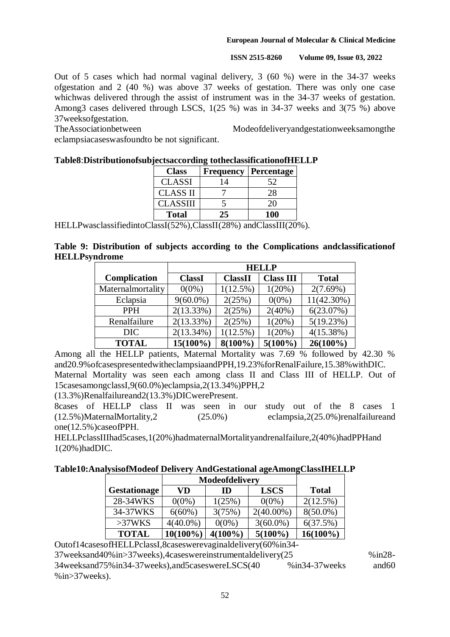**ISSN 2515-8260 Volume 09, Issue 03, 2022**

Out of 5 cases which had normal vaginal delivery, 3 (60 %) were in the 34-37 weeks ofgestation and 2 (40 %) was above 37 weeks of gestation. There was only one case whichwas delivered through the assist of instrument was in the 34-37 weeks of gestation. Among3 cases delivered through LSCS, 1(25 %) was in 34-37 weeks and 3(75 %) above 37weeksofgestation.

TheAssociationbetween Modeofdeliveryandgestationweeksamongthe eclampsiacaseswasfoundto be not significant.

| <b>Class</b>    | Frequency | Percentage |  |  |  |  |  |
|-----------------|-----------|------------|--|--|--|--|--|
| <b>CLASSI</b>   | 14        | 52         |  |  |  |  |  |
| <b>CLASS II</b> |           | 28         |  |  |  |  |  |
| <b>CLASSIII</b> |           | 20         |  |  |  |  |  |
| <b>Total</b>    | 25        | 100        |  |  |  |  |  |

### **Table8**:**Distributionofsubjectsaccording totheclassificationofHELLP**

HELLPwasclassifiedintoClassI(52%),ClassII(28%) andClassIII(20%).

|  |                      |  |  |  | Table 9: Distribution of subjects according to the Complications and classification of |
|--|----------------------|--|--|--|----------------------------------------------------------------------------------------|
|  | <b>HELLPsyndrome</b> |  |  |  |                                                                                        |

|                     | <b>HELLP</b>  |                |                  |               |  |
|---------------------|---------------|----------------|------------------|---------------|--|
| <b>Complication</b> | <b>ClassI</b> | <b>ClassII</b> | <b>Class III</b> | <b>Total</b>  |  |
| Maternalmortality   | $0(0\%)$      | 1(12.5%)       | 1(20%)           | 2(7.69%)      |  |
| Eclapsia            | $9(60.0\%)$   | 2(25%)         | $0(0\%)$         | $11(42.30\%)$ |  |
| <b>PPH</b>          | 2(13.33%)     | 2(25%)         | $2(40\%)$        | 6(23.07%)     |  |
| Renalfailure        | 2(13.33%)     | 2(25%)         | 1(20%)           | 5(19.23%)     |  |
| DIC                 | $2(13.34\%)$  | 1(12.5%)       | 1(20%)           | 4(15.38%)     |  |
| <b>TOTAL</b>        | $15(100\%)$   | $8(100\%)$     | $5(100\%)$       | $26(100\%)$   |  |

Among all the HELLP patients, Maternal Mortality was 7.69 % followed by 42.30 % and20.9%ofcasespresentedwitheclampsiaandPPH,19.23%forRenalFailure,15.38%withDIC. Maternal Mortality was seen each among class II and Class III of HELLP. Out of 15casesamongclassI,9(60.0%)eclampsia,2(13.34%)PPH,2

(13.3%)Renalfailureand2(13.3%)DICwerePresent.

8cases of HELLP class II was seen in our study out of the 8 cases 1 (12.5%)MaternalMortality,2 (25.0%) eclampsia,2(25.0%)renalfailureand one(12.5%)caseofPPH.

HELLPclassIIIhad5cases,1(20%)hadmaternalMortalityandrenalfailure,2(40%)hadPPHand 1(20%)hadDIC.

### **Table10:AnalysisofModeof Delivery AndGestational ageAmongClassIHELLP**

|                     | <b>Modeofdelivery</b>   |            |              |             |
|---------------------|-------------------------|------------|--------------|-------------|
| <b>Gestationage</b> | <b>LSCS</b><br>VD<br>ID |            | <b>Total</b> |             |
| 28-34WKS            | $0(0\%)$                | 1(25%)     | $0(0\%)$     | 2(12.5%)    |
| 34-37WKS            | $6(60\%)$               | 3(75%)     | $2(40.00\%)$ | $8(50.0\%)$ |
| >37WKS              | $4(40.0\%)$             | $0(0\%)$   | $3(60.0\%)$  | 6(37.5%)    |
| <b>TOTAL</b>        | $10(100\%)$             | $4(100\%)$ | $5(100\%)$   | $16(100\%)$ |

Outof14casesofHELLPclassI,8caseswerevaginaldelivery(60%in34- 37weeksand40%in>37weeks),4caseswereinstrumentaldelivery(25 %in28- 34weeksand75%in34-37weeks),and5caseswereLSCS(40 %in34-37weeks and60 %in>37weeks).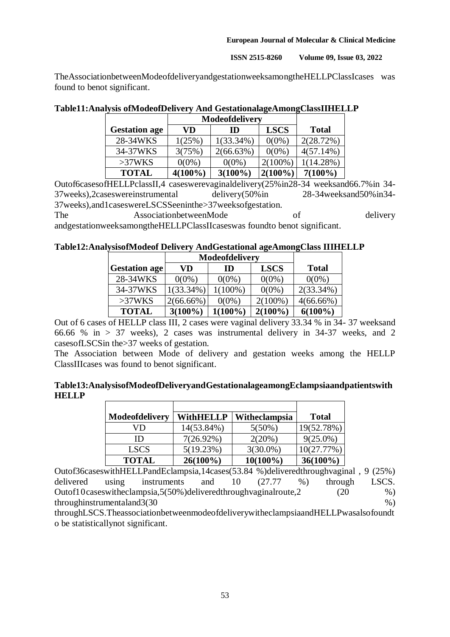**ISSN 2515-8260 Volume 09, Issue 03, 2022**

TheAssociationbetweenModeofdeliveryandgestationweeksamongtheHELLPClassIcases was found to benot significant.

|                      | Modeofdelivery |              |             |              |
|----------------------|----------------|--------------|-------------|--------------|
| <b>Gestation age</b> | VD             | ID           | <b>LSCS</b> | <b>Total</b> |
| 28-34WKS             | 1(25%)         | $1(33.34\%)$ | $0(0\%)$    | 2(28.72%)    |
| 34-37WKS             | 3(75%)         | 2(66.63%)    | $0(0\%)$    | $4(57.14\%)$ |
| >37WKS               | $0(0\%)$       | $0(0\%)$     | $2(100\%)$  | $1(14.28\%)$ |
| <b>TOTAL</b>         | $4(100\%)$     | $3(100\%)$   | $2(100\%)$  | $7(100\%)$   |

**Table11:Analysis ofModeofDelivery And GestationalageAmongClassIIHELLP**

Outof6casesofHELLPclassII,4 caseswerevaginaldelivery(25%in28-34 weeksand66.7%in 34- 37weeks),2caseswereinstrumental delivery(50%in 28-34weeksand50%in34- 37weeks),and1caseswereLSCSSeeninthe>37weeksofgestation.

The AssociationbetweenMode of delivery andgestationweeksamongtheHELLPClassIIcaseswas foundto benot significant.

## **Table12:AnalysisofModeof Delivery AndGestational ageAmongClass IIIHELLP**

|                      | Modeofdelivery          |            |              |              |
|----------------------|-------------------------|------------|--------------|--------------|
| <b>Gestation age</b> | <b>LSCS</b><br>VD<br>ID |            | <b>Total</b> |              |
| 28-34WKS             | $0(0\%)$                | $0(0\%)$   | $0(0\%)$     | $0(0\%)$     |
| 34-37WKS             | $1(33.34\%)$            | $1(100\%)$ | $0(0\%)$     | $2(33.34\%)$ |
| >37WKS               | $2(66.66\%)$            | $0(0\%)$   | $2(100\%)$   | $4(66.66\%)$ |
| <b>TOTAL</b>         | $3(100\%)$              | $1(100\%)$ | $2(100\%)$   | $6(100\%)$   |

Out of 6 cases of HELLP class III, 2 cases were vaginal delivery 33.34 % in 34- 37 weeksand 66.66 % in > 37 weeks), 2 cases was instrumental delivery in 34-37 weeks, and 2 casesofLSCSin the>37 weeks of gestation.

The Association between Mode of delivery and gestation weeks among the HELLP ClassIIIcases was found to benot significant.

|              | Table13:AnalysisofModeofDeliveryandGestationalageamongEclampsiaandpatientswith |  |
|--------------|--------------------------------------------------------------------------------|--|
| <b>HELLP</b> |                                                                                |  |

| Modeofdelivery | <b>WithHELLP</b> | Witheclampsia | <b>Total</b> |
|----------------|------------------|---------------|--------------|
| VD             | 14(53.84%)       | $5(50\%)$     | 19(52.78%)   |
| ID             | $7(26.92\%)$     | 2(20%)        | $9(25.0\%)$  |
| <b>LSCS</b>    | 5(19.23%)        | $3(30.0\%)$   | 10(27.77%)   |
| <b>TOTAL</b>   | $26(100\%)$      | $10(100\%)$   | $36(100\%)$  |

Outof36caseswithHELLPandEclampsia,14cases(53.84 %)deliveredthroughvaginal , 9 (25%) delivered using instruments and 10 (27.77 %) through LSCS. Outof10caseswitheclampsia,5(50%)deliveredthroughvaginalroute,2 (20 %)  $throughinstrumental and 3(30)$  %)

throughLSCS.TheassociationbetweenmodeofdeliverywitheclampsiaandHELLPwasalsofoundt o be statisticallynot significant.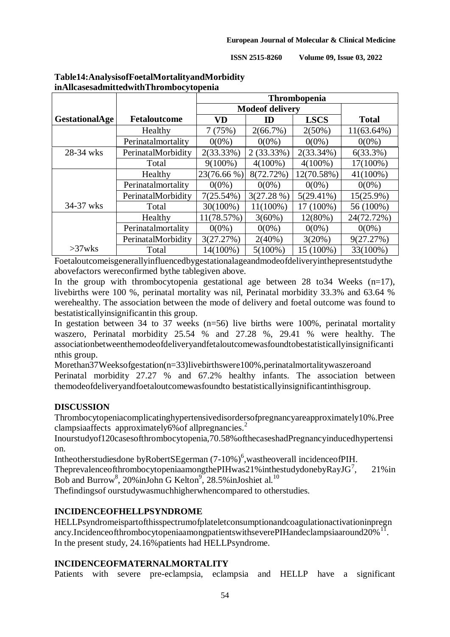|                       |                     | Thrombopenia |                        |              |               |
|-----------------------|---------------------|--------------|------------------------|--------------|---------------|
|                       |                     |              | <b>Modeof delivery</b> |              |               |
| <b>GestationalAge</b> | <b>Fetaloutcome</b> | <b>VD</b>    | ID                     | <b>LSCS</b>  | <b>Total</b>  |
|                       | Healthy             | 7(75%)       | $2(66.7\%)$            | $2(50\%)$    | $11(63.64\%)$ |
|                       | Perinatalmortality  | $0(0\%)$     | $0(0\%)$               | $0(0\%)$     | $0(0\%)$      |
| 28-34 wks             | PerinatalMorbidity  | 2(33.33%)    | $2(33.33\%)$           | $2(33.34\%)$ | 6(33.3%)      |
|                       | Total               | $9(100\%)$   | $4(100\%)$             | $4(100\%)$   | 17(100%)      |
|                       | Healthy             | 23(76.66 %)  | 8(72.72%)              | 12(70.58%)   | 41(100%)      |
|                       | Perinatalmortality  | $0(0\%)$     | $0(0\%)$               | $0(0\%)$     | $0(0\%)$      |
|                       | PerinatalMorbidity  | $7(25.54\%)$ | 3(27.28%)              | $5(29.41\%)$ | 15(25.9%)     |
| 34-37 wks             | Total               | 30(100%)     | $11(100\%)$            | 17 (100%)    | 56 (100%)     |
|                       | Healthy             | 11(78.57%)   | $3(60\%)$              | 12(80%)      | 24(72.72%)    |
|                       | Perinatalmortality  | $0(0\%)$     | $0(0\%)$               | $0(0\%)$     | $0(0\%)$      |
|                       | PerinatalMorbidity  | 3(27.27%)    | $2(40\%)$              | 3(20%)       | 9(27.27%)     |
| $>37$ wks             | Total               | 14(100%)     | $5(100\%)$             | 15 (100%)    | 33(100%)      |

### **Table14:AnalysisofFoetalMortalityandMorbidity inAllcasesadmittedwithThrombocytopenia**

Foetaloutcomeisgenerallyinfluencedbygestationalageandmodeofdeliveryinthepresentstudythe abovefactors wereconfirmed bythe tablegiven above.

In the group with thrombocytopenia gestational age between 28 to 34 Weeks  $(n=17)$ , livebirths were 100 %, perinatal mortality was nil, Perinatal morbidity 33.3% and 63.64 % werehealthy. The association between the mode of delivery and foetal outcome was found to bestatisticallyinsignificantin this group.

In gestation between 34 to 37 weeks ( $n=56$ ) live births were 100%, perinatal mortality waszero, Perinatal morbidity 25.54 % and 27.28 %, 29.41 % were healthy. The associationbetweenthemodeofdeliveryandfetaloutcomewasfoundtobestatisticallyinsignificanti nthis group.

Morethan37Weeksofgestation(n=33)livebirthswere100%,perinatalmortalitywaszeroand Perinatal morbidity 27.27 % and 67.2% healthy infants. The association between themodeofdeliveryandfoetaloutcomewasfoundto bestatisticallyinsignificantinthisgroup.

## **DISCUSSION**

Thrombocytopeniacomplicatinghypertensivedisordersofpregnancyareapproximately10%.Pree clampsiaaffects approximately6% of all pregnancies.<sup>2</sup>

Inourstudyof120casesofthrombocytopenia,70.58%ofthecaseshadPregnancyinducedhypertensi on.

Intheotherstudiesdone byRobertSEgerman (7-10%)<sup>6</sup>, wastheoverall incidenceofPIH.

Theprevalence of thrombocytopenia among the PIH was 21% in the study doneby  $\text{RaylG}^7$ , , 21%in Bob and Burrow<sup>8</sup>, 20%inJohn G Kelton<sup>9</sup>, 28.5%inJoshiet al.<sup>10</sup>

Thefindingsof ourstudywasmuchhigherwhencompared to otherstudies.

## **INCIDENCEOFHELLPSYNDROME**

HELLPsyndromeispartofthisspectrumofplateletconsumptionandcoagulationactivationinpregn ancy.IncidenceofthrombocytopeniaamongpatientswithseverePIHandeclampsiaaround20%<sup>11</sup>. In the present study, 24.16% patients had HELLPsyndrome.

## **INCIDENCEOFMATERNALMORTALITY**

Patients with severe pre-eclampsia, eclampsia and HELLP have a significant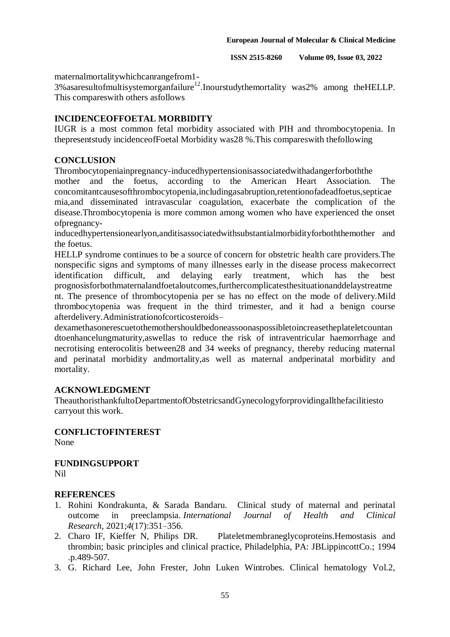maternalmortalitywhichcanrangefrom1-

 $3\%$  as a result of multisystem organization  $12$ . Inourstudy the mortality was  $2\%$  among the HELLP. This compareswith others asfollows

### **INCIDENCEOFFOETAL MORBIDITY**

IUGR is a most common fetal morbidity associated with PIH and thrombocytopenia. In thepresentstudy incidenceofFoetal Morbidity was28 %.This compareswith thefollowing

### **CONCLUSION**

Thrombocytopeniainpregnancy-inducedhypertensionisassociatedwithadangerforboththe

mother and the foetus, according to the American Heart Association. The concomitantcausesofthrombocytopenia,includingasabruption,retentionofadeadfoetus,septicae mia,and disseminated intravascular coagulation, exacerbate the complication of the disease.Thrombocytopenia is more common among women who have experienced the onset ofpregnancy-

inducedhypertensionearlyon,anditisassociatedwithsubstantialmorbidityforboththemother and the foetus.

HELLP syndrome continues to be a source of concern for obstetric health care providers.The nonspecific signs and symptoms of many illnesses early in the disease process makecorrect identification difficult, and delaying early treatment, which has the best prognosisforbothmaternalandfoetaloutcomes,furthercomplicatesthesituationanddelaystreatme nt. The presence of thrombocytopenia per se has no effect on the mode of delivery.Mild thrombocytopenia was frequent in the third trimester, and it had a benign course afterdelivery.Administrationofcorticosteroids–

dexamethasonerescuetothemothershouldbedoneassoonaspossibletoincreasetheplateletcountan dtoenhancelungmaturity,aswellas to reduce the risk of intraventricular haemorrhage and necrotising enterocolitis between28 and 34 weeks of pregnancy, thereby reducing maternal and perinatal morbidity andmortality,as well as maternal andperinatal morbidity and mortality.

### **ACKNOWLEDGMENT**

TheauthoristhankfultoDepartmentofObstetricsandGynecologyforprovidingallthefacilitiesto carryout this work.

### **CONFLICTOFINTEREST**

None

# **FUNDINGSUPPORT**

Nil

## **REFERENCES**

- 1. Rohini Kondrakunta, & Sarada Bandaru. Clinical study of maternal and perinatal outcome in preeclampsia. *International Journal of Health and Clinical Research*, 2021;*4*(17):351–356.
- 2. Charo IF, Kieffer N, Philips DR. Plateletmembraneglycoproteins.Hemostasis and thrombin; basic principles and clinical practice, Philadelphia, PA: JBLippincottCo.; 1994 .p.489-507.
- 3. G. Richard Lee, John Frester, John Luken Wintrobes. Clinical hematology Vol.2,